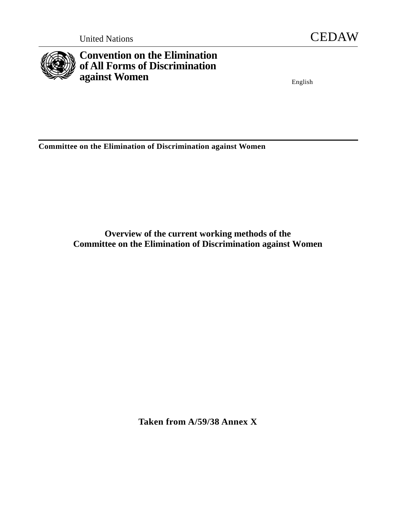



# **Convention on the Elimination of All Forms of Discrimination against Women** English

**Committee on the Elimination of Discrimination against Women** 

**Overview of the current working methods of the Committee on the Elimination of Discrimination against Women** 

**Taken from A/59/38 Annex X**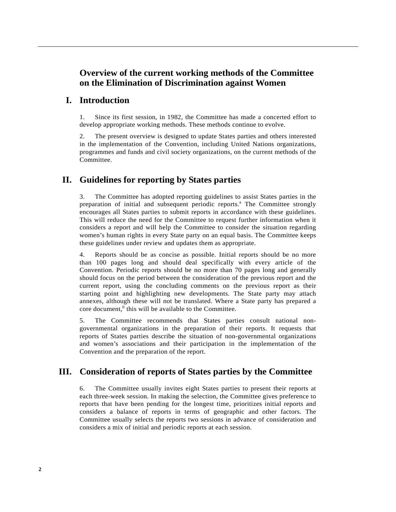# **Overview of the current working methods of the Committee on the Elimination of Discrimination against Women**

# **I. Introduction**

1. Since its first session, in 1982, the Committee has made a concerted effort to develop appropriate working methods. These methods continue to evolve.

2. The present overview is designed to update States parties and others interested in the implementation of the Convention, including United Nations organizations, programmes and funds and civil society organizations, on the current methods of the Committee.

# **II. Guidelines for reporting by States parties**

3. The Committee has adopted reporting guidelines to assist States parties in the preparation of initial and subsequent periodic reports.<sup>ª</sup> The Committee strongly encourages all States parties to submit reports in accordance with these guidelines. This will reduce the need for the Committee to request further information when it considers a report and will help the Committee to consider the situation regarding women's human rights in every State party on an equal basis. The Committee keeps these guidelines under review and updates them as appropriate.

4. Reports should be as concise as possible. Initial reports should be no more than 100 pages long and should deal specifically with every article of the Convention. Periodic reports should be no more than 70 pages long and generally should focus on the period between the consideration of the previous report and the current report, using the concluding comments on the previous report as their starting point and highlighting new developments. The State party may attach annexes, although these will not be translated. Where a State party has prepared a core document,  $\overline{b}$  this will be available to the Committee.

5. The Committee recommends that States parties consult national nongovernmental organizations in the preparation of their reports. It requests that reports of States parties describe the situation of non-governmental organizations and women's associations and their participation in the implementation of the Convention and the preparation of the report.

### **III. Consideration of reports of States parties by the Committee**

6. The Committee usually invites eight States parties to present their reports at each three-week session. In making the selection, the Committee gives preference to reports that have been pending for the longest time, prioritizes initial reports and considers a balance of reports in terms of geographic and other factors. The Committee usually selects the reports two sessions in advance of consideration and considers a mix of initial and periodic reports at each session.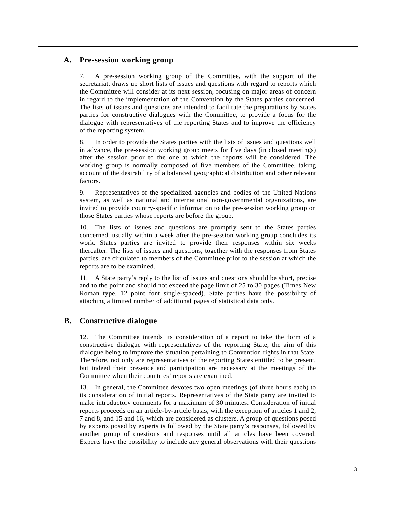#### **A. Pre-session working group**

7. A pre-session working group of the Committee, with the support of the secretariat, draws up short lists of issues and questions with regard to reports which the Committee will consider at its next session, focusing on major areas of concern in regard to the implementation of the Convention by the States parties concerned. The lists of issues and questions are intended to facilitate the preparations by States parties for constructive dialogues with the Committee, to provide a focus for the dialogue with representatives of the reporting States and to improve the efficiency of the reporting system.

8. In order to provide the States parties with the lists of issues and questions well in advance, the pre-session working group meets for five days (in closed meetings) after the session prior to the one at which the reports will be considered. The working group is normally composed of five members of the Committee, taking account of the desirability of a balanced geographical distribution and other relevant factors.

9. Representatives of the specialized agencies and bodies of the United Nations system, as well as national and international non-governmental organizations, are invited to provide country-specific information to the pre-session working group on those States parties whose reports are before the group.

10. The lists of issues and questions are promptly sent to the States parties concerned, usually within a week after the pre-session working group concludes its work. States parties are invited to provide their responses within six weeks thereafter. The lists of issues and questions, together with the responses from States parties, are circulated to members of the Committee prior to the session at which the reports are to be examined.

11. A State party's reply to the list of issues and questions should be short, precise and to the point and should not exceed the page limit of 25 to 30 pages (Times New Roman type, 12 point font single-spaced). State parties have the possibility of attaching a limited number of additional pages of statistical data only.

#### **B. Constructive dialogue**

12. The Committee intends its consideration of a report to take the form of a constructive dialogue with representatives of the reporting State, the aim of this dialogue being to improve the situation pertaining to Convention rights in that State. Therefore, not only are representatives of the reporting States entitled to be present, but indeed their presence and participation are necessary at the meetings of the Committee when their countries' reports are examined.

13. In general, the Committee devotes two open meetings (of three hours each) to its consideration of initial reports. Representatives of the State party are invited to make introductory comments for a maximum of 30 minutes. Consideration of initial reports proceeds on an article-by-article basis, with the exception of articles 1 and 2, 7 and 8, and 15 and 16, which are considered as clusters. A group of questions posed by experts posed by experts is followed by the State party's responses, followed by another group of questions and responses until all articles have been covered. Experts have the possibility to include any general observations with their questions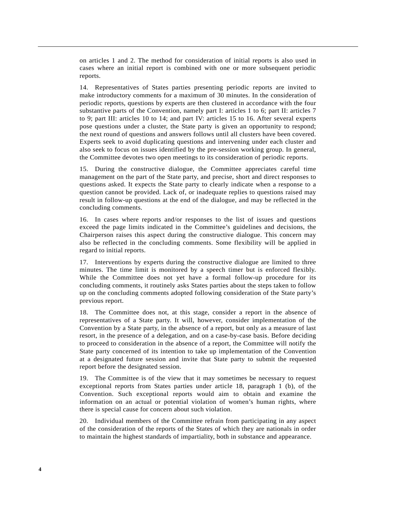on articles 1 and 2. The method for consideration of initial reports is also used in cases where an initial report is combined with one or more subsequent periodic reports.

14. Representatives of States parties presenting periodic reports are invited to make introductory comments for a maximum of 30 minutes. In the consideration of periodic reports, questions by experts are then clustered in accordance with the four substantive parts of the Convention, namely part I: articles 1 to 6; part II: articles 7 to 9; part III: articles 10 to 14; and part IV: articles 15 to 16. After several experts pose questions under a cluster, the State party is given an opportunity to respond; the next round of questions and answers follows until all clusters have been covered. Experts seek to avoid duplicating questions and intervening under each cluster and also seek to focus on issues identified by the pre-session working group. In general, the Committee devotes two open meetings to its consideration of periodic reports.

15. During the constructive dialogue, the Committee appreciates careful time management on the part of the State party, and precise, short and direct responses to questions asked. It expects the State party to clearly indicate when a response to a question cannot be provided. Lack of, or inadequate replies to questions raised may result in follow-up questions at the end of the dialogue, and may be reflected in the concluding comments.

16. In cases where reports and/or responses to the list of issues and questions exceed the page limits indicated in the Committee's guidelines and decisions, the Chairperson raises this aspect during the constructive dialogue. This concern may also be reflected in the concluding comments. Some flexibility will be applied in regard to initial reports.

17. Interventions by experts during the constructive dialogue are limited to three minutes. The time limit is monitored by a speech timer but is enforced flexibly. While the Committee does not yet have a formal follow-up procedure for its concluding comments, it routinely asks States parties about the steps taken to follow up on the concluding comments adopted following consideration of the State party's previous report.

18. The Committee does not, at this stage, consider a report in the absence of representatives of a State party. It will, however, consider implementation of the Convention by a State party, in the absence of a report, but only as a measure of last resort, in the presence of a delegation, and on a case-by-case basis. Before deciding to proceed to consideration in the absence of a report, the Committee will notify the State party concerned of its intention to take up implementation of the Convention at a designated future session and invite that State party to submit the requested report before the designated session.

19. The Committee is of the view that it may sometimes be necessary to request exceptional reports from States parties under article 18, paragraph 1 (b), of the Convention. Such exceptional reports would aim to obtain and examine the information on an actual or potential violation of women's human rights, where there is special cause for concern about such violation.

20. Individual members of the Committee refrain from participating in any aspect of the consideration of the reports of the States of which they are nationals in order to maintain the highest standards of impartiality, both in substance and appearance.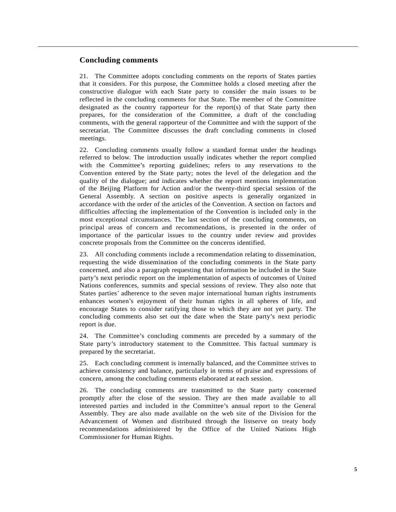#### **Concluding comments**

21. The Committee adopts concluding comments on the reports of States parties that it considers. For this purpose, the Committee holds a closed meeting after the constructive dialogue with each State party to consider the main issues to be reflected in the concluding comments for that State. The member of the Committee designated as the country rapporteur for the report(s) of that State party then prepares, for the consideration of the Committee, a draft of the concluding comments, with the general rapporteur of the Committee and with the support of the secretariat. The Committee discusses the draft concluding comments in closed meetings.

22. Concluding comments usually follow a standard format under the headings referred to below. The introduction usually indicates whether the report complied with the Committee's reporting guidelines; refers to any reservations to the Convention entered by the State party; notes the level of the delegation and the quality of the dialogue; and indicates whether the report mentions implementation of the Beijing Platform for Action and/or the twenty-third special session of the General Assembly. A section on positive aspects is generally organized in accordance with the order of the articles of the Convention. A section on factors and difficulties affecting the implementation of the Convention is included only in the most exceptional circumstances. The last section of the concluding comments, on principal areas of concern and recommendations, is presented in the order of importance of the particular issues to the country under review and provides concrete proposals from the Committee on the concerns identified.

23. All concluding comments include a recommendation relating to dissemination, requesting the wide dissemination of the concluding comments in the State party concerned, and also a paragraph requesting that information be included in the State party's next periodic report on the implementation of aspects of outcomes of United Nations conferences, summits and special sessions of review. They also note that States parties' adherence to the seven major international human rights instruments enhances women's enjoyment of their human rights in all spheres of life, and encourage States to consider ratifying those to which they are not yet party. The concluding comments also set out the date when the State party's next periodic report is due.

24. The Committee's concluding comments are preceded by a summary of the State party's introductory statement to the Committee. This factual summary is prepared by the secretariat.

25. Each concluding comment is internally balanced, and the Committee strives to achieve consistency and balance, particularly in terms of praise and expressions of concern, among the concluding comments elaborated at each session.

26. The concluding comments are transmitted to the State party concerned promptly after the close of the session. They are then made available to all interested parties and included in the Committee's annual report to the General Assembly. They are also made available on the web site of the Division for the Advancement of Women and distributed through the listserve on treaty body recommendations administered by the Office of the United Nations High Commissioner for Human Rights.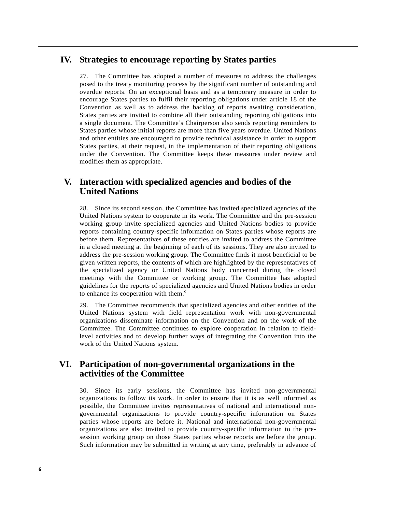### **IV. Strategies to encourage reporting by States parties**

27. The Committee has adopted a number of measures to address the challenges posed to the treaty monitoring process by the significant number of outstanding and overdue reports. On an exceptional basis and as a temporary measure in order to encourage States parties to fulfil their reporting obligations under article 18 of the Convention as well as to address the backlog of reports awaiting consideration, States parties are invited to combine all their outstanding reporting obligations into a single document. The Committee's Chairperson also sends reporting reminders to States parties whose initial reports are more than five years overdue. United Nations and other entities are encouraged to provide technical assistance in order to support States parties, at their request, in the implementation of their reporting obligations under the Convention. The Committee keeps these measures under review and modifies them as appropriate.

# **V. Interaction with specialized agencies and bodies of the United Nations**

28. Since its second session, the Committee has invited specialized agencies of the United Nations system to cooperate in its work. The Committee and the pre-session working group invite specialized agencies and United Nations bodies to provide reports containing country-specific information on States parties whose reports are before them. Representatives of these entities are invited to address the Committee in a closed meeting at the beginning of each of its sessions. They are also invited to address the pre-session working group. The Committee finds it most beneficial to be given written reports, the contents of which are highlighted by the representatives of the specialized agency or United Nations body concerned during the closed meetings with the Committee or working group. The Committee has adopted guidelines for the reports of specialized agencies and United Nations bodies in order to enhance its cooperation with them. $\epsilon$ 

29. The Committee recommends that specialized agencies and other entities of the United Nations system with field representation work with non-governmental organizations disseminate information on the Convention and on the work of the Committee. The Committee continues to explore cooperation in relation to fieldlevel activities and to develop further ways of integrating the Convention into the work of the United Nations system.

# **VI. Participation of non-governmental organizations in the activities of the Committee**

30. Since its early sessions, the Committee has invited non-governmental organizations to follow its work. In order to ensure that it is as well informed as possible, the Committee invites representatives of national and international nongovernmental organizations to provide country-specific information on States parties whose reports are before it. National and international non-governmental organizations are also invited to provide country-specific information to the presession working group on those States parties whose reports are before the group. Such information may be submitted in writing at any time, preferably in advance of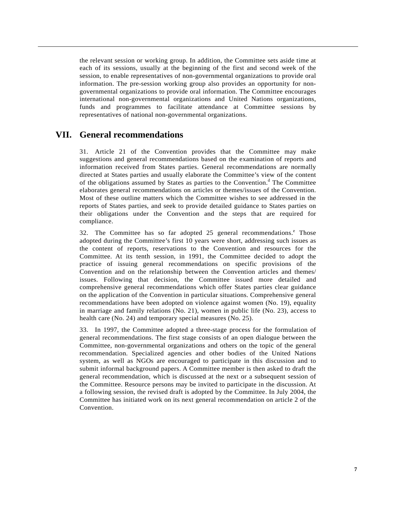the relevant session or working group. In addition, the Committee sets aside time at each of its sessions, usually at the beginning of the first and second week of the session, to enable representatives of non-governmental organizations to provide oral information. The pre-session working group also provides an opportunity for nongovernmental organizations to provide oral information. The Committee encourages international non-governmental organizations and United Nations organizations, funds and programmes to facilitate attendance at Committee sessions by representatives of national non-governmental organizations.

#### **VII. General recommendations**

31. Article 21 of the Convention provides that the Committee may make suggestions and general recommendations based on the examination of reports and information received from States parties. General recommendations are normally directed at States parties and usually elaborate the Committee's view of the content of the obligations assumed by States as parties to the Convention.<sup>d</sup> The Committee elaborates general recommendations on articles or themes/issues of the Convention. Most of these outline matters which the Committee wishes to see addressed in the reports of States parties, and seek to provide detailed guidance to States parties on their obligations under the Convention and the steps that are required for compliance.

32. The Committee has so far adopted 25 general recommendations.<sup>e</sup> Those adopted during the Committee's first 10 years were short, addressing such issues as the content of reports, reservations to the Convention and resources for the Committee. At its tenth session, in 1991, the Committee decided to adopt the practice of issuing general recommendations on specific provisions of the Convention and on the relationship between the Convention articles and themes/ issues. Following that decision, the Committee issued more detailed and comprehensive general recommendations which offer States parties clear guidance on the application of the Convention in particular situations. Comprehensive general recommendations have been adopted on violence against women (No. 19), equality in marriage and family relations (No. 21), women in public life (No. 23), access to health care (No. 24) and temporary special measures (No. 25).

33. In 1997, the Committee adopted a three-stage process for the formulation of general recommendations. The first stage consists of an open dialogue between the Committee, non-governmental organizations and others on the topic of the general recommendation. Specialized agencies and other bodies of the United Nations system, as well as NGOs are encouraged to participate in this discussion and to submit informal background papers. A Committee member is then asked to draft the general recommendation, which is discussed at the next or a subsequent session of the Committee. Resource persons may be invited to participate in the discussion. At a following session, the revised draft is adopted by the Committee. In July 2004, the Committee has initiated work on its next general recommendation on article 2 of the Convention.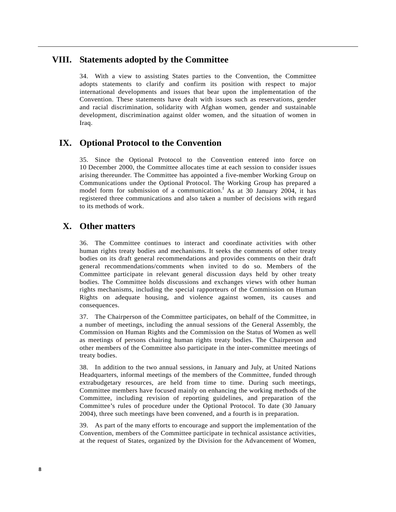### **VIII. Statements adopted by the Committee**

34. With a view to assisting States parties to the Convention, the Committee adopts statements to clarify and confirm its position with respect to major international developments and issues that bear upon the implementation of the Convention. These statements have dealt with issues such as reservations, gender and racial discrimination, solidarity with Afghan women, gender and sustainable development, discrimination against older women, and the situation of women in Iraq.

# **IX. Optional Protocol to the Convention**

35. Since the Optional Protocol to the Convention entered into force on 10 December 2000, the Committee allocates time at each session to consider issues arising thereunder. The Committee has appointed a five-member Working Group on Communications under the Optional Protocol. The Working Group has prepared a model form for submission of a communication. <sup>f</sup> As at 30 January 2004, it has registered three communications and also taken a number of decisions with regard to its methods of work.

# **X. Other matters**

36. The Committee continues to interact and coordinate activities with other human rights treaty bodies and mechanisms. It seeks the comments of other treaty bodies on its draft general recommendations and provides comments on their draft general recommendations/comments when invited to do so. Members of the Committee participate in relevant general discussion days held by other treaty bodies. The Committee holds discussions and exchanges views with other human rights mechanisms, including the special rapporteurs of the Commission on Human Rights on adequate housing, and violence against women, its causes and consequences.

37. The Chairperson of the Committee participates, on behalf of the Committee, in a number of meetings, including the annual sessions of the General Assembly, the Commission on Human Rights and the Commission on the Status of Women as well as meetings of persons chairing human rights treaty bodies. The Chairperson and other members of the Committee also participate in the inter-committee meetings of treaty bodies.

38. In addition to the two annual sessions, in January and July, at United Nations Headquarters, informal meetings of the members of the Committee, funded through extrabudgetary resources, are held from time to time. During such meetings, Committee members have focused mainly on enhancing the working methods of the Committee, including revision of reporting guidelines, and preparation of the Committee's rules of procedure under the Optional Protocol. To date (30 January 2004), three such meetings have been convened, and a fourth is in preparation.

39. As part of the many efforts to encourage and support the implementation of the Convention, members of the Committee participate in technical assistance activities, at the request of States, organized by the Division for the Advancement of Women,